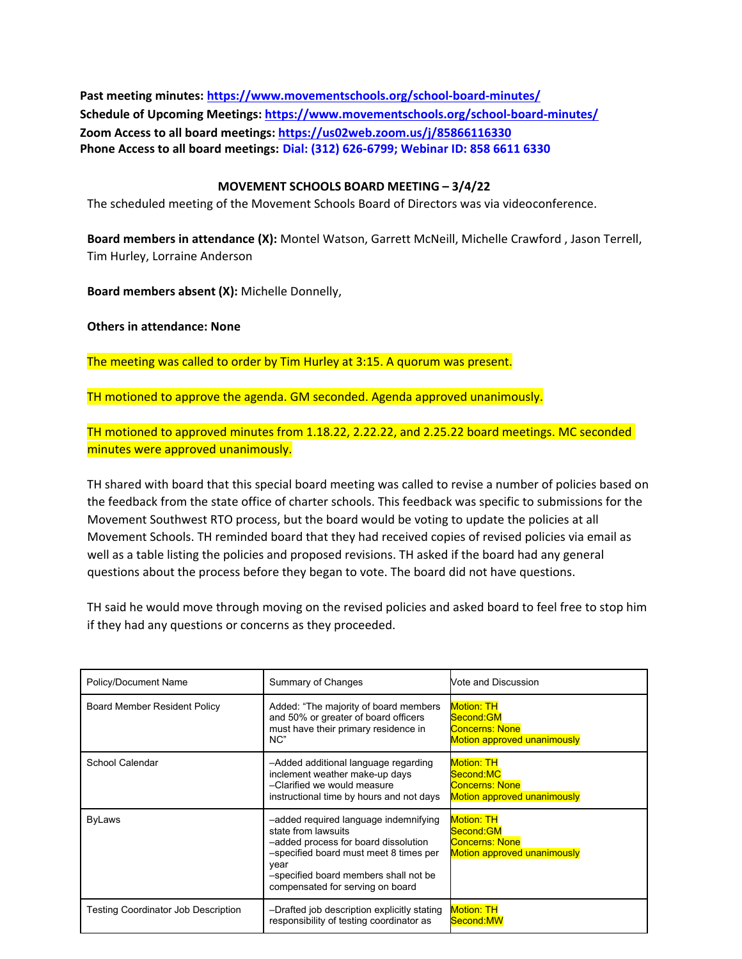**Past meeting minutes:<https://www.movementschools.org/school-board-minutes/> Schedule of Upcoming Meetings[: https://www.movementschools.org/school-board-minutes/](https://www.movementschools.org/school-board-minutes/) Zoom Access to all board meetings:<https://us02web.zoom.us/j/85866116330> Phone Access to all board meetings: Dial: (312) 626-6799; Webinar ID: 858 6611 6330**

## **MOVEMENT SCHOOLS BOARD MEETING – 3/4/22**

The scheduled meeting of the Movement Schools Board of Directors was via videoconference.

**Board members in attendance (X):** Montel Watson, Garrett McNeill, Michelle Crawford , Jason Terrell, Tim Hurley, Lorraine Anderson

**Board members absent (X):** Michelle Donnelly,

**Others in attendance: None**

The meeting was called to order by Tim Hurley at 3:15. A quorum was present.

TH motioned to approve the agenda. GM seconded. Agenda approved unanimously.

TH motioned to approved minutes from 1.18.22, 2.22.22, and 2.25.22 board meetings. MC seconded minutes were approved unanimously.

TH shared with board that this special board meeting was called to revise a number of policies based on the feedback from the state office of charter schools. This feedback was specific to submissions for the Movement Southwest RTO process, but the board would be voting to update the policies at all Movement Schools. TH reminded board that they had received copies of revised policies via email as well as a table listing the policies and proposed revisions. TH asked if the board had any general questions about the process before they began to vote. The board did not have questions.

TH said he would move through moving on the revised policies and asked board to feel free to stop him if they had any questions or concerns as they proceeded.

| Policy/Document Name                       | Summary of Changes                                                                                                                                                                                                                  | Vote and Discussion                                                                           |
|--------------------------------------------|-------------------------------------------------------------------------------------------------------------------------------------------------------------------------------------------------------------------------------------|-----------------------------------------------------------------------------------------------|
| Board Member Resident Policy               | Added: "The majority of board members<br>and 50% or greater of board officers<br>must have their primary residence in<br>NC"                                                                                                        | <b>Motion: TH</b><br>Second:GM<br><b>Concerns: None</b><br><b>Motion approved unanimously</b> |
| School Calendar                            | -Added additional language regarding<br>inclement weather make-up days<br>-Clarified we would measure<br>instructional time by hours and not days                                                                                   | <b>Motion: TH</b><br>Second:MC<br><b>Concerns: None</b><br><b>Motion approved unanimously</b> |
| <b>ByLaws</b>                              | -added required language indemnifying<br>state from lawsuits<br>-added process for board dissolution<br>-specified board must meet 8 times per<br>vear<br>-specified board members shall not be<br>compensated for serving on board | <b>Motion: TH</b><br>Second:GM<br><b>Concerns: None</b><br><b>Motion approved unanimously</b> |
| <b>Testing Coordinator Job Description</b> | -Drafted job description explicitly stating<br>responsibility of testing coordinator as                                                                                                                                             | <b>Motion: TH</b><br>Second:MW                                                                |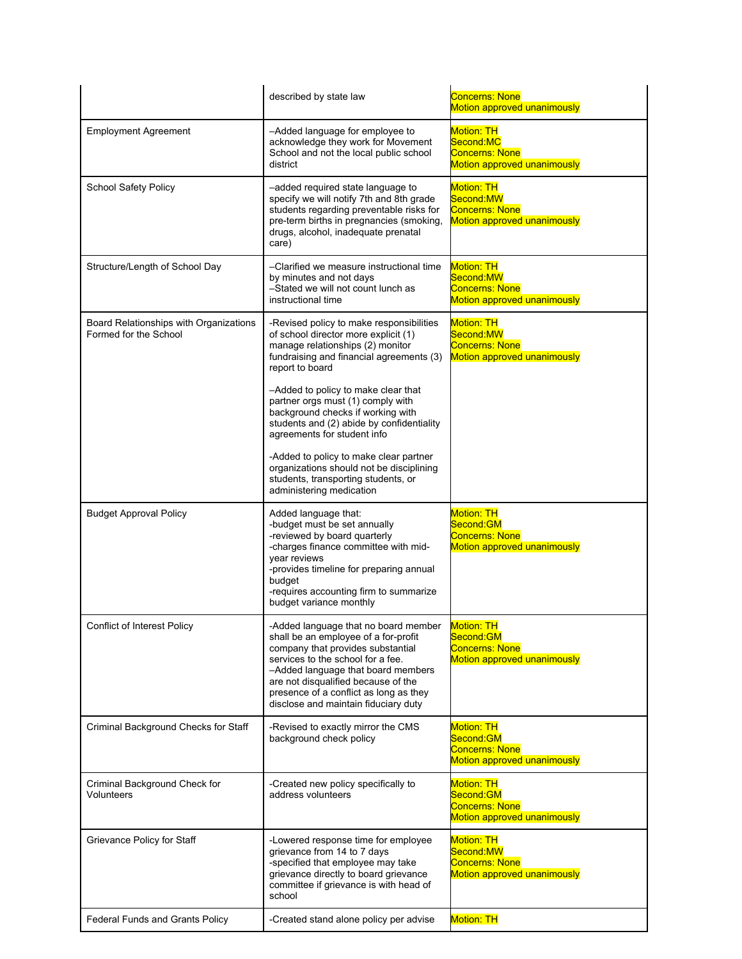|                                                                 | described by state law                                                                                                                                                                                                                                                                                                | <b>Concerns: None</b><br><b>Motion approved unanimously</b>                                   |
|-----------------------------------------------------------------|-----------------------------------------------------------------------------------------------------------------------------------------------------------------------------------------------------------------------------------------------------------------------------------------------------------------------|-----------------------------------------------------------------------------------------------|
| <b>Employment Agreement</b>                                     | -Added language for employee to<br>acknowledge they work for Movement<br>School and not the local public school<br>district                                                                                                                                                                                           | <b>Motion: TH</b><br>Second:MC<br><b>Concerns: None</b><br>Motion approved unanimously        |
| <b>School Safety Policy</b>                                     | -added required state language to<br>specify we will notify 7th and 8th grade<br>students regarding preventable risks for<br>pre-term births in pregnancies (smoking,<br>drugs, alcohol, inadequate prenatal<br>care)                                                                                                 | <b>Motion: TH</b><br>Second:MW<br><b>Concerns: None</b><br><b>Motion approved unanimously</b> |
| Structure/Length of School Day                                  | –Clarified we measure instructional time<br>by minutes and not days<br>-Stated we will not count lunch as<br>instructional time                                                                                                                                                                                       | <b>Motion: TH</b><br>Second:MW<br><b>Concerns: None</b><br><b>Motion approved unanimously</b> |
| Board Relationships with Organizations<br>Formed for the School | -Revised policy to make responsibilities<br>of school director more explicit (1)<br>manage relationships (2) monitor<br>fundraising and financial agreements (3)<br>report to board                                                                                                                                   | <b>Motion: TH</b><br>Second:MW<br><b>Concerns: None</b><br>Motion approved unanimously        |
|                                                                 | -Added to policy to make clear that<br>partner orgs must (1) comply with<br>background checks if working with<br>students and (2) abide by confidentiality<br>agreements for student info                                                                                                                             |                                                                                               |
|                                                                 | -Added to policy to make clear partner<br>organizations should not be disciplining<br>students, transporting students, or<br>administering medication                                                                                                                                                                 |                                                                                               |
|                                                                 |                                                                                                                                                                                                                                                                                                                       |                                                                                               |
| <b>Budget Approval Policy</b>                                   | Added language that:<br>-budget must be set annually<br>-reviewed by board quarterly<br>-charges finance committee with mid-<br>year reviews<br>-provides timeline for preparing annual<br>budget<br>-requires accounting firm to summarize<br>budget variance monthly                                                | <b>Motion: TH</b><br>Second:GM<br><b>Concerns: None</b><br>Motion approved unanimously        |
| <b>Conflict of Interest Policy</b>                              | -Added language that no board member<br>shall be an employee of a for-profit<br>company that provides substantial<br>services to the school for a fee.<br>-Added language that board members<br>are not disqualified because of the<br>presence of a conflict as long as they<br>disclose and maintain fiduciary duty | <b>Motion: TH</b><br>Second:GM<br><b>Concerns: None</b><br>Motion approved unanimously        |
| Criminal Background Checks for Staff                            | -Revised to exactly mirror the CMS<br>background check policy                                                                                                                                                                                                                                                         | <b>Motion: TH</b><br>Second:GM<br><b>Concerns: None</b><br>Motion approved unanimously        |
| Criminal Background Check for<br>Volunteers                     | -Created new policy specifically to<br>address volunteers                                                                                                                                                                                                                                                             | Motion: TH<br>Second:GM<br><b>Concerns: None</b><br>Motion approved unanimously               |
| Grievance Policy for Staff                                      | -Lowered response time for employee<br>grievance from 14 to 7 days<br>-specified that employee may take<br>grievance directly to board grievance<br>committee if grievance is with head of<br>school                                                                                                                  | <b>Motion: TH</b><br>Second:MW<br><b>Concerns: None</b><br>Motion approved unanimously        |